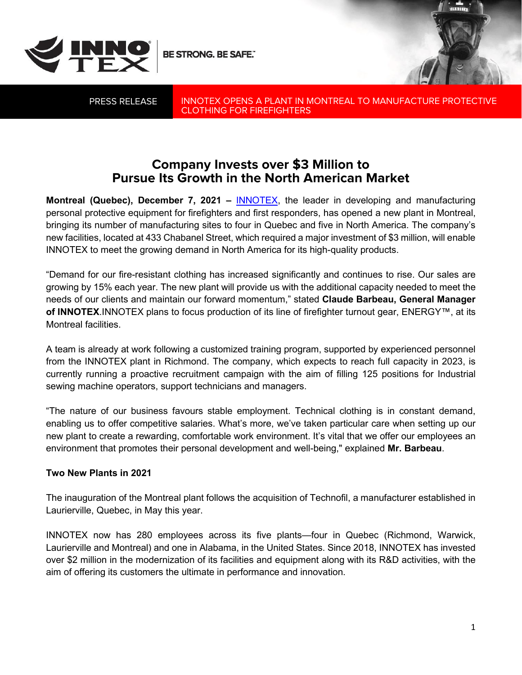

BE STRONG. BE SAFE."

PRESS RELEASE

INNOTEX OPENS A PLANT IN MONTREAL TO MANUFACTURE PROTECTIVE CLOTHING FOR FIREFIGHTERS

## **Company Invests over \$3 Million to Pursue Its Growth in the North American Market**

**Montreal (Quebec), December 7, 2021 –** [INNOTEX,](https://innotexprotection.com/fr/) the leader in developing and manufacturing personal protective equipment for firefighters and first responders, has opened a new plant in Montreal, bringing its number of manufacturing sites to four in Quebec and five in North America. The company's new facilities, located at 433 Chabanel Street, which required a major investment of \$3 million, will enable INNOTEX to meet the growing demand in North America for its high-quality products.

"Demand for our fire-resistant clothing has increased significantly and continues to rise. Our sales are growing by 15% each year. The new plant will provide us with the additional capacity needed to meet the needs of our clients and maintain our forward momentum," stated **Claude Barbeau, General Manager of INNOTEX**.INNOTEX plans to focus production of its line of firefighter turnout gear, ENERGY™, at its Montreal facilities.

A team is already at work following a customized training program, supported by experienced personnel from the INNOTEX plant in Richmond. The company, which expects to reach full capacity in 2023, is currently running a proactive recruitment campaign with the aim of filling 125 positions for Industrial sewing machine operators, support technicians and managers.

"The nature of our business favours stable employment. Technical clothing is in constant demand, enabling us to offer competitive salaries. What's more, we've taken particular care when setting up our new plant to create a rewarding, comfortable work environment. It's vital that we offer our employees an environment that promotes their personal development and well-being," explained **Mr. Barbeau**.

## **Two New Plants in 2021**

The inauguration of the Montreal plant follows the acquisition of Technofil, a manufacturer established in Laurierville, Quebec, in May this year.

INNOTEX now has 280 employees across its five plants—four in Quebec (Richmond, Warwick, Laurierville and Montreal) and one in Alabama, in the United States. Since 2018, INNOTEX has invested over \$2 million in the modernization of its facilities and equipment along with its R&D activities, with the aim of offering its customers the ultimate in performance and innovation.